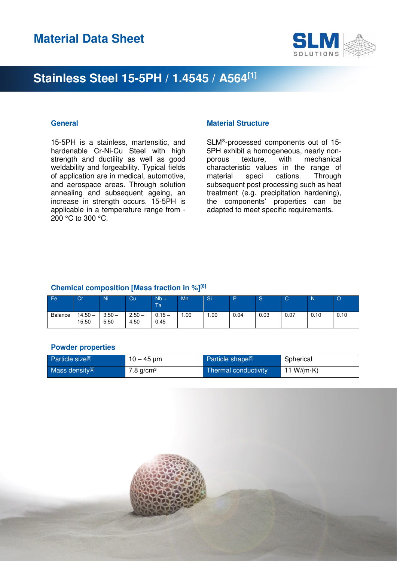

15-5PH is a stainless, martensitic, and hardenable Cr-Ni-Cu Steel with high strength and ductility as well as good weldability and forgeability. Typical fields of application are in medical, automotive, and aerospace areas. Through solution annealing and subsequent ageing, an increase in strength occurs. 15-5PH is applicable in a temperature range from - 200 °C to 300 °C.

### **General Contract Contract Contract Contract Contract Contract Contract Contract Contract Contract Contract Contract Contract Contract Contract Contract Contract Contract Contract Contract Contract Contract Contract Contra**

SLM® -processed components out of 15- 5PH exhibit a homogeneous, nearly nonporous texture, with mechanical characteristic values in the range of material speci cations. Through subsequent post processing such as heat treatment (e.g. precipitation hardening), the components' properties can be adapted to meet specific requirements.

#### **Chemical composition [Mass fraction in %][8]**

| Fe      | Cr                 | Ni               | Cu               | $Wb +$<br>Ta     | Mn  | Si  | D.   | ю    | ັ    | N    | O    |
|---------|--------------------|------------------|------------------|------------------|-----|-----|------|------|------|------|------|
| Balance | $14.50 -$<br>15.50 | $3.50 -$<br>5.50 | $2.50 -$<br>4.50 | $0.15 -$<br>0.45 | .00 | .00 | 0.04 | 0.03 | 0.07 | 0.10 | 0.10 |

#### **Powder properties**

| Particle size <sup>[8]</sup> | $10 - 45 \,\mathrm{\mu m}$ | Particle shape <sup>[9]</sup> | Spherical     |
|------------------------------|----------------------------|-------------------------------|---------------|
| Mass density <sup>[2]</sup>  | $7.8$ g/cm <sup>3</sup>    | Thermal conductivity          | 11 W/(m $K$ ) |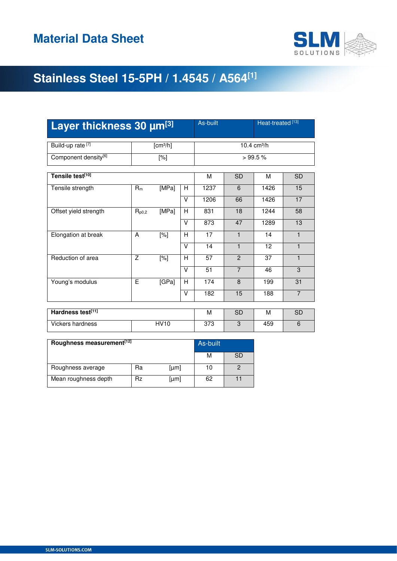

| Layer thickness 30 µm[3]         |                |                      |        | As-built  |                | Heat-treated <sup>[13]</sup> |                |
|----------------------------------|----------------|----------------------|--------|-----------|----------------|------------------------------|----------------|
| Build-up rate <sup>[7]</sup>     |                | [cm <sup>3</sup> /h] |        |           |                | 10.4 cm <sup>3</sup> /h      |                |
| Component density <sup>[6]</sup> |                | $[\%]$               |        |           | >99.5%         |                              |                |
| Tensile test[10]                 |                |                      |        | м         | <b>SD</b>      | M                            | <b>SD</b>      |
| Tensile strength                 | $R_m$          | [MPa]                | H      | 1237      | 6              | 1426                         | 15             |
|                                  |                |                      | $\vee$ | 1206      | 66             | 1426                         | 17             |
| Offset yield strength            | $R_{p0,2}$     | [MPa]                | н      | 831       | 18             | 1244                         | 58             |
|                                  |                |                      | $\vee$ | 873       | 47             | 1289                         | 13             |
| Elongation at break              | A              | [%]                  | н      | 17        | $\mathbf{1}$   | 14                           | $\mathbf{1}$   |
|                                  |                |                      | $\vee$ | 14        | $\mathbf{1}$   | 12                           | $\mathbf{1}$   |
| Reduction of area                | $\overline{z}$ | [%]                  | H      | 57        | $\mathbf{P}$   | 37                           | $\mathbf{1}$   |
|                                  |                |                      | $\vee$ | 51        | $\overline{7}$ | 46                           | 3              |
| Young's modulus                  | E              | [GPa]                | H      | 174       | 8              | 199                          | 31             |
|                                  |                |                      | $\vee$ | 182       | 15             | 188                          | $\overline{7}$ |
| Hardness test[11]                |                |                      | м      | <b>SD</b> | м              | <b>SD</b>                    |                |
|                                  |                |                      |        |           |                |                              |                |
| <b>Vickers hardness</b>          |                | <b>HV10</b>          |        | 373       | 3              | 459                          | 6              |

| Roughness measurement <sup>[12]</sup> | As-built |              |    |           |
|---------------------------------------|----------|--------------|----|-----------|
|                                       |          |              | М  | <b>SD</b> |
| Roughness average                     | Ra       | [µm]         | 10 |           |
| Mean roughness depth                  | Rz       | ${\rm [µm]}$ | 62 |           |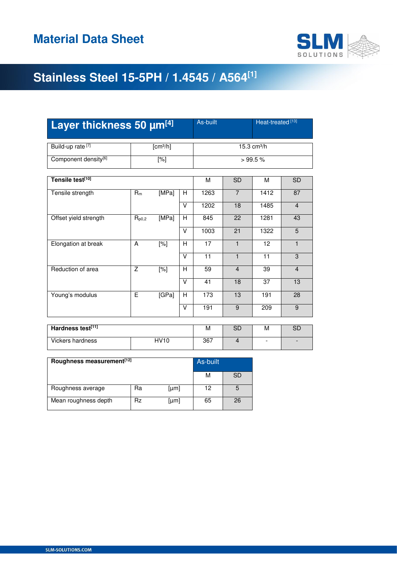

| Layer thickness 50 µm[4]         | As-built<br>Heat-treated <sup>[13]</sup> |                      |                |                 |                         |                 |                |  |
|----------------------------------|------------------------------------------|----------------------|----------------|-----------------|-------------------------|-----------------|----------------|--|
| Build-up rate <sup>[7]</sup>     |                                          | [cm <sup>3</sup> /h] |                |                 | 15.3 cm <sup>3</sup> /h |                 |                |  |
| Component density <sup>[6]</sup> |                                          | $[\%]$               |                |                 |                         | >99.5%          |                |  |
| Tensile test[10]                 |                                          |                      |                | M               | <b>SD</b>               | M               | <b>SD</b>      |  |
| Tensile strength                 | $R_m$                                    | [MPa]                | H              | 1263            | $\overline{7}$          | 1412            | 87             |  |
|                                  |                                          |                      | $\vee$         | 1202            | 18                      | 1485            | $\overline{4}$ |  |
| Offset yield strength            | $R_{p0,2}$                               | [MPa]                | H              | 845             | 22                      | 1281            | 43             |  |
|                                  |                                          |                      | $\vee$         | 1003            | 21                      | 1322            | 5              |  |
| Elongation at break              | A                                        | $[\%]$               | H              | 17              | $\mathbf{1}$            | 12              | $\mathbf{1}$   |  |
|                                  |                                          |                      | V              | $\overline{11}$ | $\mathbf{1}$            | $\overline{11}$ | 3              |  |
| Reduction of area                | Z                                        | $[\%]$               | H              | 59              | $\overline{4}$          | 39              | $\overline{4}$ |  |
|                                  |                                          |                      | $\vee$         | 41              | 18                      | 37              | 13             |  |
| Young's modulus                  | E                                        | [GPa]                | $\overline{H}$ | 173             | 13                      | 191             | 28             |  |
|                                  |                                          |                      | $\vee$         | 191             | 9                       | 209             | 9              |  |
|                                  |                                          |                      |                |                 |                         |                 |                |  |
| Hardness test[11]                |                                          |                      | М              | <b>SD</b>       | M                       | <b>SD</b>       |                |  |

| Hardness test[11] |      | M   | ∟ت | M | $\sim$<br>◡ |
|-------------------|------|-----|----|---|-------------|
| Vickers hardness  | HV10 | 367 |    | - | -           |

| Roughness measurement <sup>[12]</sup> | As-built |      |    |    |
|---------------------------------------|----------|------|----|----|
|                                       |          |      | М  | SD |
| Roughness average                     | Ra       | [µm] | 12 | 5  |
| Mean roughness depth                  | Rz       | [µm] | 65 | 26 |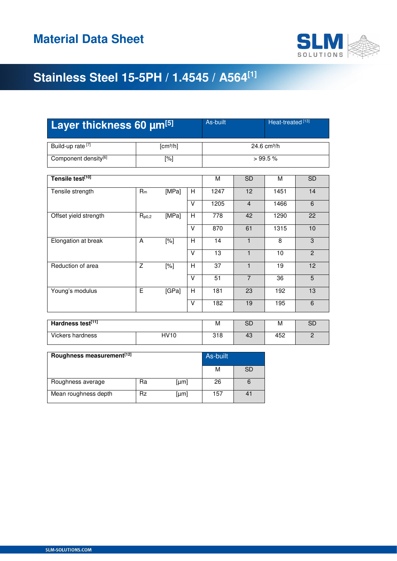

| Layer thickness 60 µm[5]         |                |                      |   | Heat-treated <sup>[13]</sup><br>As-built |                         |                 |                |  |
|----------------------------------|----------------|----------------------|---|------------------------------------------|-------------------------|-----------------|----------------|--|
| Build-up rate <sup>[7]</sup>     |                | [cm <sup>3</sup> /h] |   |                                          | 24.6 cm <sup>3</sup> /h |                 |                |  |
| Component density <sup>[6]</sup> |                | $[\%]$               |   |                                          |                         | >99.5%          |                |  |
| Tensile test[10]                 |                |                      |   | M                                        | <b>SD</b>               | M               | <b>SD</b>      |  |
| Tensile strength                 | [MPa]<br>$R_m$ |                      | H | $\overline{1247}$                        | 12                      | 1451            | 14             |  |
|                                  |                |                      | V | 1205                                     | $\overline{4}$          | 1466            | 6              |  |
| Offset yield strength            | $R_{p0,2}$     | [MPa]                | H | 778                                      | 42                      | 1290            | 22             |  |
|                                  |                |                      | V | 870                                      | 61                      | 1315            | 10             |  |
| Elongation at break              | A              | $[\%]$               | Н | 14                                       | $\mathbf{1}$            | 8               | 3              |  |
|                                  |                |                      | V | $\overline{13}$                          | $\mathbf{1}$            | 10              | $\overline{2}$ |  |
| Reduction of area                | Z              | $[\%]$               | H | 37                                       | 1                       | $\overline{19}$ | 12             |  |
|                                  |                |                      | V | $\overline{51}$                          | $\overline{7}$          | $\overline{36}$ | $\overline{5}$ |  |
| Young's modulus                  | Ē              | [GPa]                | H | 181                                      | 23                      | 192             | 13             |  |
|                                  |                |                      | V | 182                                      | 19                      | 195             | 6              |  |
| Hardness test[11]<br><b>SD</b>   |                |                      |   |                                          |                         | м               | <b>SD</b>      |  |
|                                  |                |                      |   | м                                        |                         |                 |                |  |
| <b>Vickers hardness</b>          |                | HVI0                 |   | 318                                      | 43                      | 452             | $\overline{c}$ |  |

| Roughness measurement <sup>[12]</sup> | As-built |      |     |    |
|---------------------------------------|----------|------|-----|----|
|                                       |          |      | М   | SD |
| Roughness average                     | Ra       | [µm] | 26  |    |
| Mean roughness depth                  | Rz       | [µm] | 157 |    |